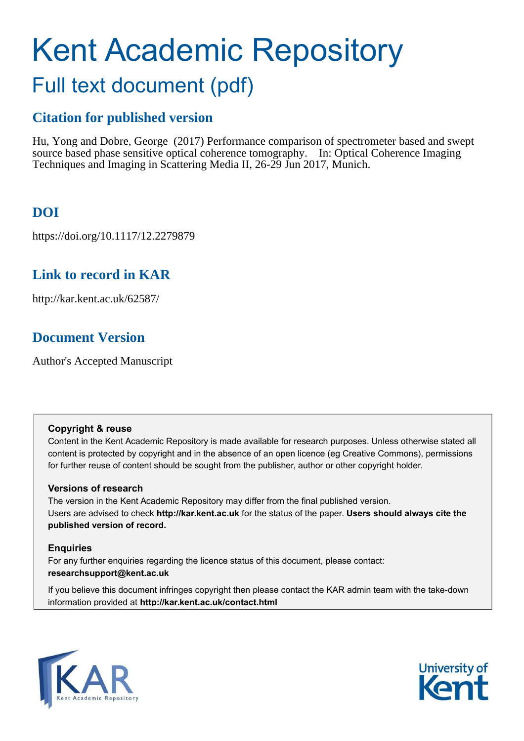# Kent Academic Repository Full text document (pdf)

# **Citation for published version**

Hu, Yong and Dobre, George (2017) Performance comparison of spectrometer based and swept source based phase sensitive optical coherence tomography. In: Optical Coherence Imaging Techniques and Imaging in Scattering Media II, 26-29 Jun 2017, Munich.

# **DOI**

https://doi.org/10.1117/12.2279879

## **Link to record in KAR**

http://kar.kent.ac.uk/62587/

# **Document Version**

Author's Accepted Manuscript

### **Copyright & reuse**

Content in the Kent Academic Repository is made available for research purposes. Unless otherwise stated all content is protected by copyright and in the absence of an open licence (eg Creative Commons), permissions for further reuse of content should be sought from the publisher, author or other copyright holder.

## **Versions of research**

The version in the Kent Academic Repository may differ from the final published version. Users are advised to check **http://kar.kent.ac.uk** for the status of the paper. **Users should always cite the published version of record.**

## **Enquiries**

For any further enquiries regarding the licence status of this document, please contact: **researchsupport@kent.ac.uk**

If you believe this document infringes copyright then please contact the KAR admin team with the take-down information provided at **http://kar.kent.ac.uk/contact.html**



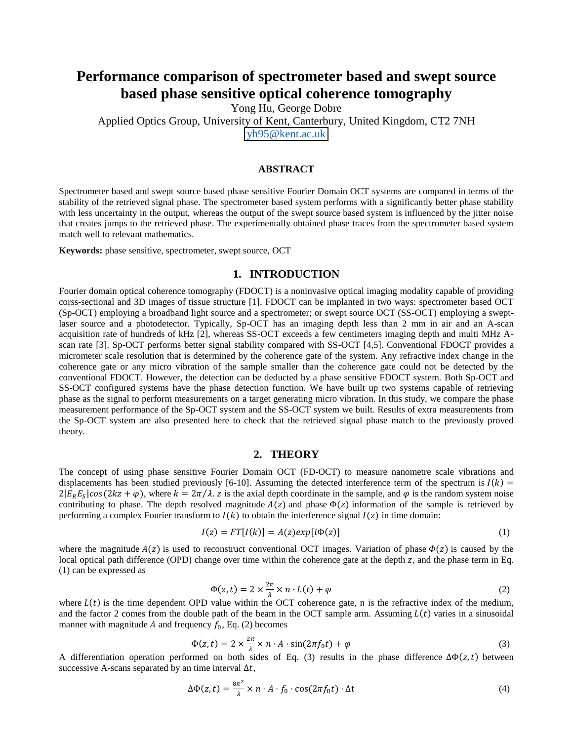## **Performance comparison of spectrometer based and swept source based phase sensitive optical coherence tomography**

Yong Hu, George Dobre

Applied Optics Group, University of Kent, Canterbury, United Kingdom, CT2 7NH [yh95@kent.ac.uk](mailto:yh95@kent.ac.uk)

#### **ABSTRACT**

Spectrometer based and swept source based phase sensitive Fourier Domain OCT systems are compared in terms of the stability of the retrieved signal phase. The spectrometer based system performs with a significantly better phase stability with less uncertainty in the output, whereas the output of the swept source based system is influenced by the jitter noise that creates jumps to the retrieved phase. The experimentally obtained phase traces from the spectrometer based system match well to relevant mathematics.

**Keywords:** phase sensitive, spectrometer, swept source, OCT

#### **1. INTRODUCTION**

Fourier domain optical coherence tomography (FDOCT) is a noninvasive optical imaging modality capable of providing corss-sectional and 3D images of tissue structure [1]. FDOCT can be implanted in two ways: spectrometer based OCT (Sp-OCT) employing a broadband light source and a spectrometer; or swept source OCT (SS-OCT) employing a sweptlaser source and a photodetector. Typically, Sp-OCT has an imaging depth less than 2 mm in air and an A-scan acquisition rate of hundreds of kHz [2], whereas SS-OCT exceeds a few centimeters imaging depth and multi MHz Ascan rate [3]. Sp-OCT performs better signal stability compared with SS-OCT [4,5]. Conventional FDOCT provides a micrometer scale resolution that is determined by the coherence gate of the system. Any refractive index change in the coherence gate or any micro vibration of the sample smaller than the coherence gate could not be detected by the conventional FDOCT. However, the detection can be deducted by a phase sensitive FDOCT system. Both Sp-OCT and SS-OCT configured systems have the phase detection function. We have built up two systems capable of retrieving phase as the signal to perform measurements on a target generating micro vibration. In this study, we compare the phase measurement performance of the Sp-OCT system and the SS-OCT system we built. Results of extra measurements from the Sp-OCT system are also presented here to check that the retrieved signal phase match to the previously proved theory.

#### **2. THEORY**

The concept of using phase sensitive Fourier Domain OCT (FD-OCT) to measure nanometre scale vibrations and displacements has been studied previously [6-10]. Assuming the detected interference term of the spectrum is  $I(k)$  =  $2|E_R E_S|cos(2kz + \varphi)$ , where  $k = 2\pi/\lambda$ . z is the axial depth coordinate in the sample, and  $\varphi$  is the random system noise contributing to phase. The depth resolved magnitude  $A(z)$  and phase  $\Phi(z)$  information of the sample is retrieved by performing a complex Fourier transform to  $I(k)$  to obtain the interference signal  $I(z)$  in time domain:

$$
I(z) = FT[I(k)] = A(z)exp[i\Phi(z)]
$$
\n(1)

where the magnitude  $A(z)$  is used to reconstruct conventional OCT images. Variation of phase  $\Phi(z)$  is caused by the local optical path difference (OPD) change over time within the coherence gate at the depth  $z$ , and the phase term in Eq. (1) can be expressed as

$$
\Phi(z,t) = 2 \times \frac{2\pi}{\lambda} \times n \cdot L(t) + \varphi \tag{2}
$$

where  $L(t)$  is the time dependent OPD value within the OCT coherence gate, n is the refractive index of the medium, and the factor 2 comes from the double path of the beam in the OCT sample arm. Assuming  $L(t)$  varies in a sinusoidal manner with magnitude A and frequency  $f_0$ , Eq. (2) becomes

$$
\Phi(z,t) = 2 \times \frac{2\pi}{\lambda} \times n \cdot A \cdot \sin(2\pi f_0 t) + \varphi \tag{3}
$$

A differentiation operation performed on both sides of Eq. (3) results in the phase difference  $\Delta\Phi(z,t)$  between successive A-scans separated by an time interval  $\Delta t$ ,

$$
\Delta \Phi(z, t) = \frac{8\pi^2}{\lambda} \times n \cdot A \cdot f_0 \cdot \cos(2\pi f_0 t) \cdot \Delta t \tag{4}
$$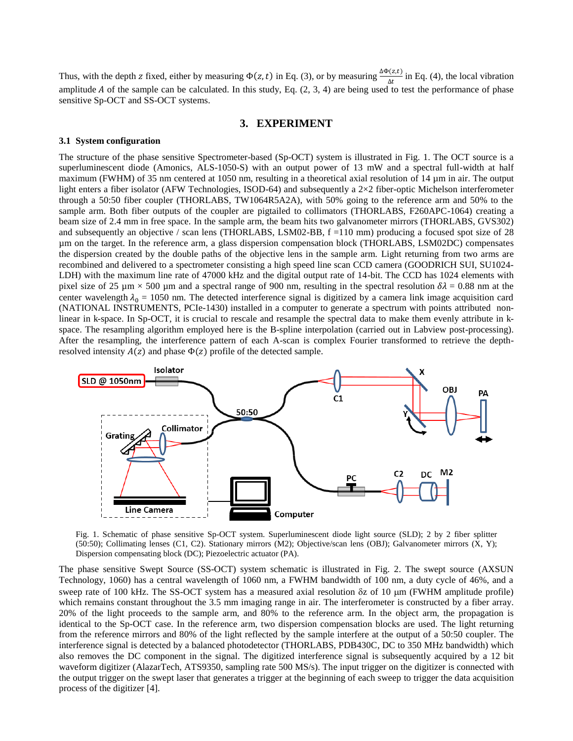Thus, with the depth z fixed, either by measuring  $\Phi(z,t)$  in Eq. (3), or by measuring  $\frac{\Delta \Phi(z,t)}{\Delta t}$  in Eq. (4), the local vibration amplitude A of the sample can be calculated. In this study, Eq.  $(2, 3, 4)$  are being used to test the performance of phase sensitive Sp-OCT and SS-OCT systems.

#### **3. EXPERIMENT**

#### **3.1 System configuration**

The structure of the phase sensitive Spectrometer-based (Sp-OCT) system is illustrated in Fig. 1. The OCT source is a superluminescent diode (Amonics, ALS-1050-S) with an output power of 13 mW and a spectral full-width at half maximum (FWHM) of 35 nm centered at 1050 nm, resulting in a theoretical axial resolution of 14 µm in air. The output light enters a fiber isolator (AFW Technologies, ISOD-64) and subsequently a  $2\times2$  fiber-optic Michelson interferometer through a 50:50 fiber coupler (THORLABS, TW1064R5A2A), with 50% going to the reference arm and 50% to the sample arm. Both fiber outputs of the coupler are pigtailed to collimators (THORLABS, F260APC-1064) creating a beam size of 2.4 mm in free space. In the sample arm, the beam hits two galvanometer mirrors (THORLABS, GVS302) and subsequently an objective / scan lens (THORLABS, LSM02-BB, f =110 mm) producing a focused spot size of 28 µm on the target. In the reference arm, a glass dispersion compensation block (THORLABS, LSM02DC) compensates the dispersion created by the double paths of the objective lens in the sample arm. Light returning from two arms are recombined and delivered to a spectrometer consisting a high speed line scan CCD camera (GOODRICH SUI, SU1024- LDH) with the maximum line rate of 47000 kHz and the digital output rate of 14-bit. The CCD has 1024 elements with pixel size of 25  $\mu$ m × 500  $\mu$ m and a spectral range of 900 nm, resulting in the spectral resolution  $\delta\lambda$  = 0.88 nm at the center wavelength  $\lambda_0 = 1050$  nm. The detected interference signal is digitized by a camera link image acquisition card (NATIONAL INSTRUMENTS, PCIe-1430) installed in a computer to generate a spectrum with points attributed nonlinear in k-space. In Sp-OCT, it is crucial to rescale and resample the spectral data to make them evenly attribute in kspace. The resampling algorithm employed here is the B-spline interpolation (carried out in Labview post-processing). After the resampling, the interference pattern of each A-scan is complex Fourier transformed to retrieve the depthresolved intensity  $A(z)$  and phase  $\Phi(z)$  profile of the detected sample.



Fig. 1. Schematic of phase sensitive Sp-OCT system. Superluminescent diode light source (SLD); 2 by 2 fiber splitter (50:50); Collimating lenses (C1, C2). Stationary mirrors (M2); Objective/scan lens (OBJ); Galvanometer mirrors (X, Y); Dispersion compensating block (DC); Piezoelectric actuator (PA).

The phase sensitive Swept Source (SS-OCT) system schematic is illustrated in Fig. 2. The swept source (AXSUN Technology, 1060) has a central wavelength of 1060 nm, a FWHM bandwidth of 100 nm, a duty cycle of 46%, and a sweep rate of 100 kHz. The SS-OCT system has a measured axial resolution  $\delta z$  of 10  $\mu$ m (FWHM amplitude profile) which remains constant throughout the 3.5 mm imaging range in air. The interferometer is constructed by a fiber array. 20% of the light proceeds to the sample arm, and 80% to the reference arm. In the object arm, the propagation is identical to the Sp-OCT case. In the reference arm, two dispersion compensation blocks are used. The light returning from the reference mirrors and 80% of the light reflected by the sample interfere at the output of a 50:50 coupler. The interference signal is detected by a balanced photodetector (THORLABS, PDB430C, DC to 350 MHz bandwidth) which also removes the DC component in the signal. The digitized interference signal is subsequently acquired by a 12 bit waveform digitizer (AlazarTech, ATS9350, sampling rate 500 MS/s). The input trigger on the digitizer is connected with the output trigger on the swept laser that generates a trigger at the beginning of each sweep to trigger the data acquisition process of the digitizer [4].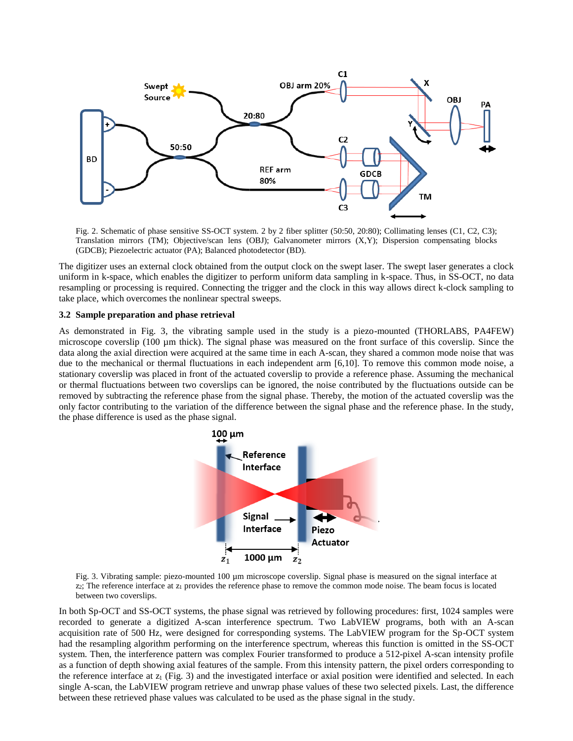

Fig. 2. Schematic of phase sensitive SS-OCT system. 2 by 2 fiber splitter (50:50, 20:80); Collimating lenses (C1, C2, C3); Translation mirrors (TM); Objective/scan lens (OBJ); Galvanometer mirrors (X,Y); Dispersion compensating blocks (GDCB); Piezoelectric actuator (PA); Balanced photodetector (BD).

The digitizer uses an external clock obtained from the output clock on the swept laser. The swept laser generates a clock uniform in k-space, which enables the digitizer to perform uniform data sampling in k-space. Thus, in SS-OCT, no data resampling or processing is required. Connecting the trigger and the clock in this way allows direct k-clock sampling to take place, which overcomes the nonlinear spectral sweeps.

#### **3.2 Sample preparation and phase retrieval**

As demonstrated in Fig. 3, the vibrating sample used in the study is a piezo-mounted (THORLABS, PA4FEW) microscope coverslip (100 µm thick). The signal phase was measured on the front surface of this coverslip. Since the data along the axial direction were acquired at the same time in each A-scan, they shared a common mode noise that was due to the mechanical or thermal fluctuations in each independent arm [6,10]. To remove this common mode noise, a stationary coverslip was placed in front of the actuated coverslip to provide a reference phase. Assuming the mechanical or thermal fluctuations between two coverslips can be ignored, the noise contributed by the fluctuations outside can be removed by subtracting the reference phase from the signal phase. Thereby, the motion of the actuated coverslip was the only factor contributing to the variation of the difference between the signal phase and the reference phase. In the study, the phase difference is used as the phase signal.



Fig. 3. Vibrating sample: piezo-mounted 100 µm microscope coverslip. Signal phase is measured on the signal interface at  $z$ 2; The reference interface at  $z_1$  provides the reference phase to remove the common mode noise. The beam focus is located between two coverslips.

In both Sp-OCT and SS-OCT systems, the phase signal was retrieved by following procedures: first, 1024 samples were recorded to generate a digitized A-scan interference spectrum. Two LabVIEW programs, both with an A-scan acquisition rate of 500 Hz, were designed for corresponding systems. The LabVIEW program for the Sp-OCT system had the resampling algorithm performing on the interference spectrum, whereas this function is omitted in the SS-OCT system. Then, the interference pattern was complex Fourier transformed to produce a 512-pixel A-scan intensity profile as a function of depth showing axial features of the sample. From this intensity pattern, the pixel orders corresponding to the reference interface at  $z_1$  (Fig. 3) and the investigated interface or axial position were identified and selected. In each single A-scan, the LabVIEW program retrieve and unwrap phase values of these two selected pixels. Last, the difference between these retrieved phase values was calculated to be used as the phase signal in the study.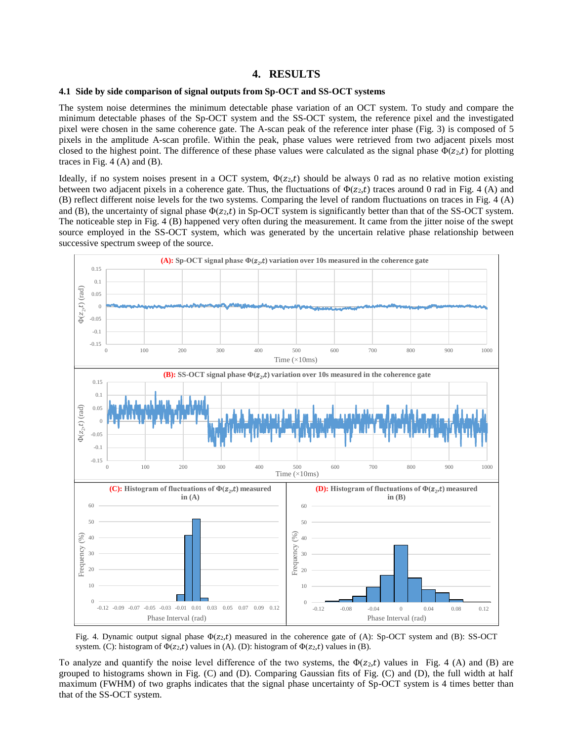#### **4. RESULTS**

#### **4.1 Side by side comparison of signal outputs from Sp-OCT and SS-OCT systems**

The system noise determines the minimum detectable phase variation of an OCT system. To study and compare the minimum detectable phases of the Sp-OCT system and the SS-OCT system, the reference pixel and the investigated pixel were chosen in the same coherence gate. The A-scan peak of the reference inter phase (Fig. 3) is composed of 5 pixels in the amplitude A-scan profile. Within the peak, phase values were retrieved from two adjacent pixels most closed to the highest point. The difference of these phase values were calculated as the signal phase  $\Phi(z_2,t)$  for plotting traces in Fig.  $4(A)$  and  $(B)$ .

Ideally, if no system noises present in a OCT system,  $\Phi(z_2,t)$  should be always 0 rad as no relative motion existing between two adjacent pixels in a coherence gate. Thus, the fluctuations of  $\Phi(z_2,t)$  traces around 0 rad in Fig. 4 (A) and (B) reflect different noise levels for the two systems. Comparing the level of random fluctuations on traces in Fig. 4 (A) and (B), the uncertainty of signal phase  $\Phi(z_2,t)$  in Sp-OCT system is significantly better than that of the SS-OCT system. The noticeable step in Fig. 4 (B) happened very often during the measurement. It came from the jitter noise of the swept source employed in the SS-OCT system, which was generated by the uncertain relative phase relationship between successive spectrum sweep of the source.



Fig. 4. Dynamic output signal phase  $\Phi(z_2,t)$  measured in the coherence gate of (A): Sp-OCT system and (B): SS-OCT system. (C): histogram of  $\Phi(z_2,t)$  values in (A). (D): histogram of  $\Phi(z_2,t)$  values in (B).

To analyze and quantify the noise level difference of the two systems, the  $\Phi(z_2,t)$  values in Fig. 4 (A) and (B) are grouped to histograms shown in Fig. (C) and (D). Comparing Gaussian fits of Fig. (C) and (D), the full width at half maximum (FWHM) of two graphs indicates that the signal phase uncertainty of Sp-OCT system is 4 times better than that of the SS-OCT system.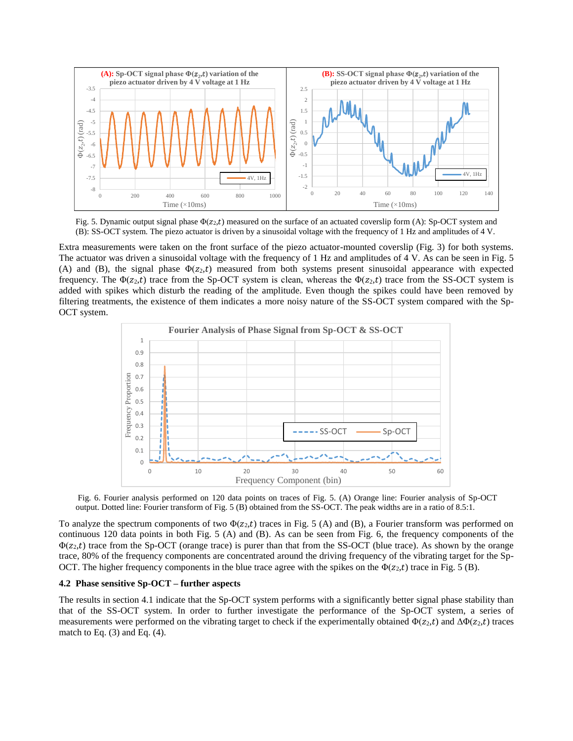

Fig. 5. Dynamic output signal phase  $\Phi(z_2,t)$  measured on the surface of an actuated coverslip form (A): Sp-OCT system and (B): SS-OCT system. The piezo actuator is driven by a sinusoidal voltage with the frequency of 1 Hz and amplitudes of 4 V.

Extra measurements were taken on the front surface of the piezo actuator-mounted coverslip (Fig. 3) for both systems. The actuator was driven a sinusoidal voltage with the frequency of 1 Hz and amplitudes of 4 V. As can be seen in Fig. 5 (A) and (B), the signal phase  $\Phi(z_2,t)$  measured from both systems present sinusoidal appearance with expected frequency. The  $\Phi(z_2,t)$  trace from the Sp-OCT system is clean, whereas the  $\Phi(z_2,t)$  trace from the SS-OCT system is added with spikes which disturb the reading of the amplitude. Even though the spikes could have been removed by filtering treatments, the existence of them indicates a more noisy nature of the SS-OCT system compared with the Sp-OCT system.



 Fig. 6. Fourier analysis performed on 120 data points on traces of Fig. 5. (A) Orange line: Fourier analysis of Sp-OCT output. Dotted line: Fourier transform of Fig. 5 (B) obtained from the SS-OCT. The peak widths are in a ratio of 8.5:1.

To analyze the spectrum components of two  $\Phi(z_2,t)$  traces in Fig. 5 (A) and (B), a Fourier transform was performed on continuous 120 data points in both Fig. 5 (A) and (B). As can be seen from Fig. 6, the frequency components of the  $\Phi(z_2,t)$  trace from the Sp-OCT (orange trace) is purer than that from the SS-OCT (blue trace). As shown by the orange trace, 80% of the frequency components are concentrated around the driving frequency of the vibrating target for the Sp-OCT. The higher frequency components in the blue trace agree with the spikes on the  $\Phi(z_2,t)$  trace in Fig. 5 (B).

#### **4.2 Phase sensitive Sp-OCT – further aspects**

The results in section 4.1 indicate that the Sp-OCT system performs with a significantly better signal phase stability than that of the SS-OCT system. In order to further investigate the performance of the Sp-OCT system, a series of measurements were performed on the vibrating target to check if the experimentally obtained  $\Phi(z_2,t)$  and  $\Delta\Phi(z_2,t)$  traces match to Eq.  $(3)$  and Eq.  $(4)$ .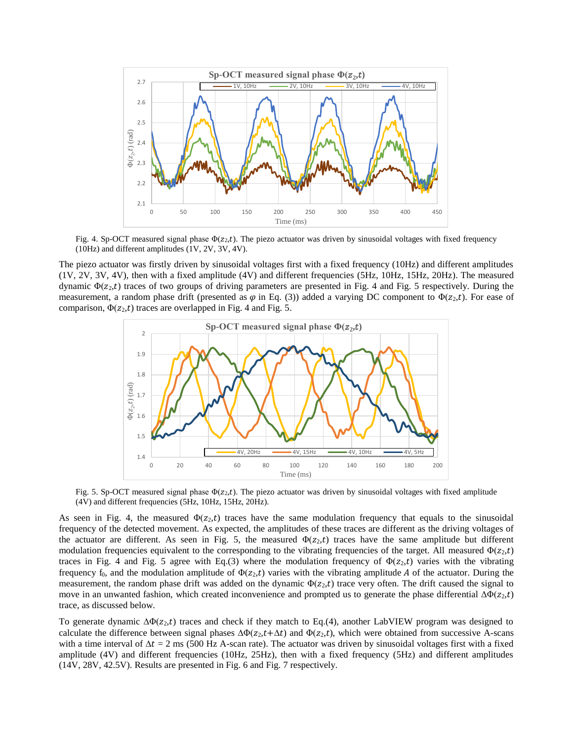

Fig. 4. Sp-OCT measured signal phase  $\Phi(z_2,t)$ . The piezo actuator was driven by sinusoidal voltages with fixed frequency (10Hz) and different amplitudes (1V, 2V, 3V, 4V).

The piezo actuator was firstly driven by sinusoidal voltages first with a fixed frequency (10Hz) and different amplitudes (1V, 2V, 3V, 4V), then with a fixed amplitude (4V) and different frequencies (5Hz, 10Hz, 15Hz, 20Hz). The measured dynamic  $\Phi(z_2,t)$  traces of two groups of driving parameters are presented in Fig. 4 and Fig. 5 respectively. During the measurement, a random phase drift (presented as  $\varphi$  in Eq. (3)) added a varying DC component to  $\Phi(z_2,t)$ . For ease of comparison,  $\Phi(z_2,t)$  traces are overlapped in Fig. 4 and Fig. 5.



Fig. 5. Sp-OCT measured signal phase  $\Phi(z_2,t)$ . The piezo actuator was driven by sinusoidal voltages with fixed amplitude (4V) and different frequencies (5Hz, 10Hz, 15Hz, 20Hz).

As seen in Fig. 4, the measured  $\Phi(z_2,t)$  traces have the same modulation frequency that equals to the sinusoidal frequency of the detected movement. As expected, the amplitudes of these traces are different as the driving voltages of the actuator are different. As seen in Fig. 5, the measured  $\Phi(z_2,t)$  traces have the same amplitude but different modulation frequencies equivalent to the corresponding to the vibrating frequencies of the target. All measured  $\Phi(z_2,t)$ traces in Fig. 4 and Fig. 5 agree with Eq.(3) where the modulation frequency of  $\Phi(z_2,t)$  varies with the vibrating frequency f<sub>0</sub>, and the modulation amplitude of  $\Phi(z_2,t)$  varies with the vibrating amplitude A of the actuator. During the measurement, the random phase drift was added on the dynamic  $\Phi(z_2,t)$  trace very often. The drift caused the signal to move in an unwanted fashion, which created inconvenience and prompted us to generate the phase differential  $\Delta \Phi(z_2,t)$ trace, as discussed below.

To generate dynamic  $\Delta\Phi(z_2,t)$  traces and check if they match to Eq.(4), another LabVIEW program was designed to calculate the difference between signal phases  $\Delta\Phi(z_2,t+\Delta t)$  and  $\Phi(z_2,t)$ , which were obtained from successive A-scans with a time interval of  $\Delta t = 2$  ms (500 Hz A-scan rate). The actuator was driven by sinusoidal voltages first with a fixed amplitude (4V) and different frequencies (10Hz, 25Hz), then with a fixed frequency (5Hz) and different amplitudes (14V, 28V, 42.5V). Results are presented in Fig. 6 and Fig. 7 respectively.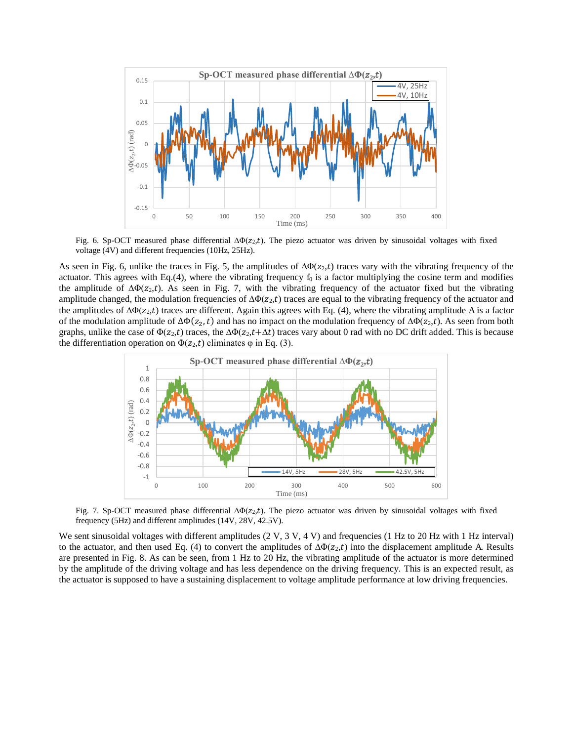

Fig. 6. Sp-OCT measured phase differential  $\Delta \Phi(z_2,t)$ . The piezo actuator was driven by sinusoidal voltages with fixed voltage (4V) and different frequencies (10Hz, 25Hz).

As seen in Fig. 6, unlike the traces in Fig. 5, the amplitudes of  $\Delta\Phi(z_2,t)$  traces vary with the vibrating frequency of the actuator. This agrees with Eq.(4), where the vibrating frequency  $f_0$  is a factor multiplying the cosine term and modifies the amplitude of  $\Delta\Phi(z_2,t)$ . As seen in Fig. 7, with the vibrating frequency of the actuator fixed but the vibrating amplitude changed, the modulation frequencies of  $\Delta\Phi(z_2,t)$  traces are equal to the vibrating frequency of the actuator and the amplitudes of  $\Delta\Phi(z_2,t)$  traces are different. Again this agrees with Eq. (4), where the vibrating amplitude A is a factor of the modulation amplitude of  $\Delta\Phi(z_2, t)$  and has no impact on the modulation frequency of  $\Delta\Phi(z_2, t)$ . As seen from both graphs, unlike the case of  $\Phi(z_2,t)$  traces, the  $\Delta\Phi(z_2,t+\Delta t)$  traces vary about 0 rad with no DC drift added. This is because the differentiation operation on  $\Phi(z_2,t)$  eliminates  $\varphi$  in Eq. (3).



Fig. 7. Sp-OCT measured phase differential  $\Delta \Phi(z_2,t)$ . The piezo actuator was driven by sinusoidal voltages with fixed frequency (5Hz) and different amplitudes (14V, 28V, 42.5V).

We sent sinusoidal voltages with different amplitudes (2 V, 3 V, 4 V) and frequencies (1 Hz to 20 Hz with 1 Hz interval) to the actuator, and then used Eq. (4) to convert the amplitudes of  $\Delta\Phi(z_2,t)$  into the displacement amplitude A. Results are presented in Fig. 8. As can be seen, from 1 Hz to 20 Hz, the vibrating amplitude of the actuator is more determined by the amplitude of the driving voltage and has less dependence on the driving frequency. This is an expected result, as the actuator is supposed to have a sustaining displacement to voltage amplitude performance at low driving frequencies.